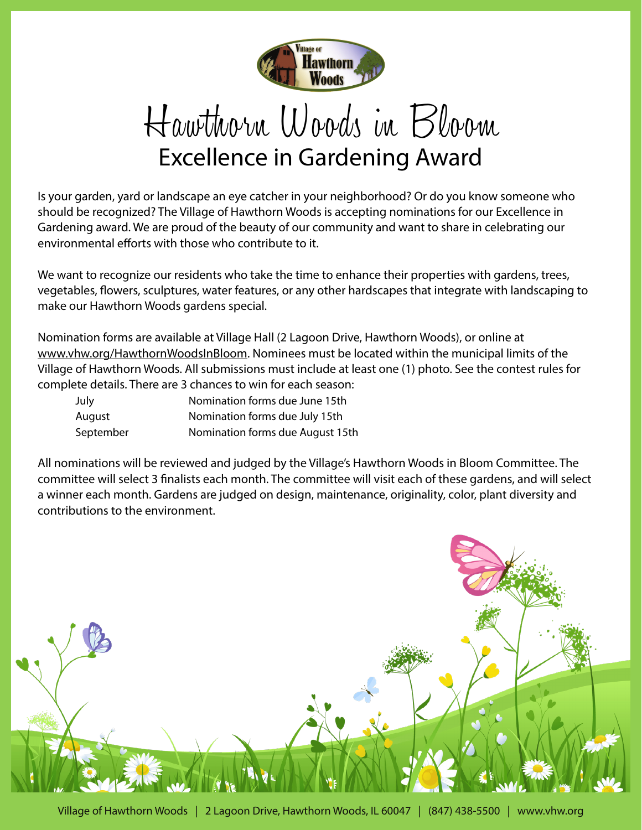

## Hawthorn Woods in Bloom Excellence in Gardening Award

Is your garden, yard or landscape an eye catcher in your neighborhood? Or do you know someone who should be recognized? The Village of Hawthorn Woods is accepting nominations for our Excellence in Gardening award. We are proud of the beauty of our community and want to share in celebrating our environmental efforts with those who contribute to it.

We want to recognize our residents who take the time to enhance their properties with gardens, trees, vegetables, flowers, sculptures, water features, or any other hardscapes that integrate with landscaping to make our Hawthorn Woods gardens special.

Nomination forms are available at Village Hall (2 Lagoon Drive, Hawthorn Woods), or online at www.vhw.org/HawthornWoodsInBloom. Nominees must be located within the municipal limits of the Village of Hawthorn Woods. All submissions must include at least one (1) photo. See the contest rules for complete details. There are 3 chances to win for each season:

| July      | Nomination forms due June 15th   |
|-----------|----------------------------------|
| August    | Nomination forms due July 15th   |
| September | Nomination forms due August 15th |

All nominations will be reviewed and judged by the Village's Hawthorn Woods in Bloom Committee. The committee will select 3 finalists each month. The committee will visit each of these gardens, and will select a winner each month. Gardens are judged on design, maintenance, originality, color, plant diversity and contributions to the environment.

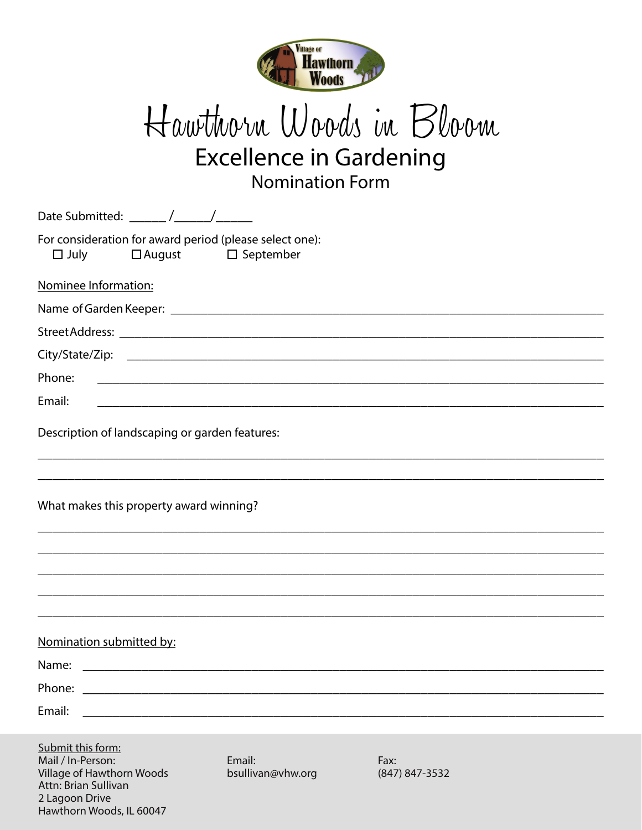

## Hawthorn Woods in Bloom **Excellence in Gardening Nomination Form**

| Date Submitted: ______ /______/_______                                 |                                |                        |  |
|------------------------------------------------------------------------|--------------------------------|------------------------|--|
| For consideration for award period (please select one):<br>$\Box$ July | $\Box$ August $\Box$ September |                        |  |
| Nominee Information:                                                   |                                |                        |  |
|                                                                        |                                |                        |  |
|                                                                        |                                |                        |  |
|                                                                        |                                |                        |  |
| Phone:                                                                 |                                |                        |  |
| Email:                                                                 |                                |                        |  |
| Description of landscaping or garden features:                         |                                |                        |  |
| What makes this property award winning?                                |                                |                        |  |
|                                                                        |                                |                        |  |
|                                                                        |                                |                        |  |
|                                                                        |                                |                        |  |
| Nomination submitted by:<br>Name:                                      |                                |                        |  |
| Phone:                                                                 |                                |                        |  |
| Email:                                                                 |                                |                        |  |
|                                                                        |                                |                        |  |
| Submit this form:                                                      |                                |                        |  |
| Mail / In-Person:<br>Village of Hawthorn Woods<br>Attn: Brian Sullivan | Email:<br>bsullivan@vhw.org    | Fax:<br>(847) 847-3532 |  |

2 Lagoon Drive

Hawthorn Woods, IL 60047